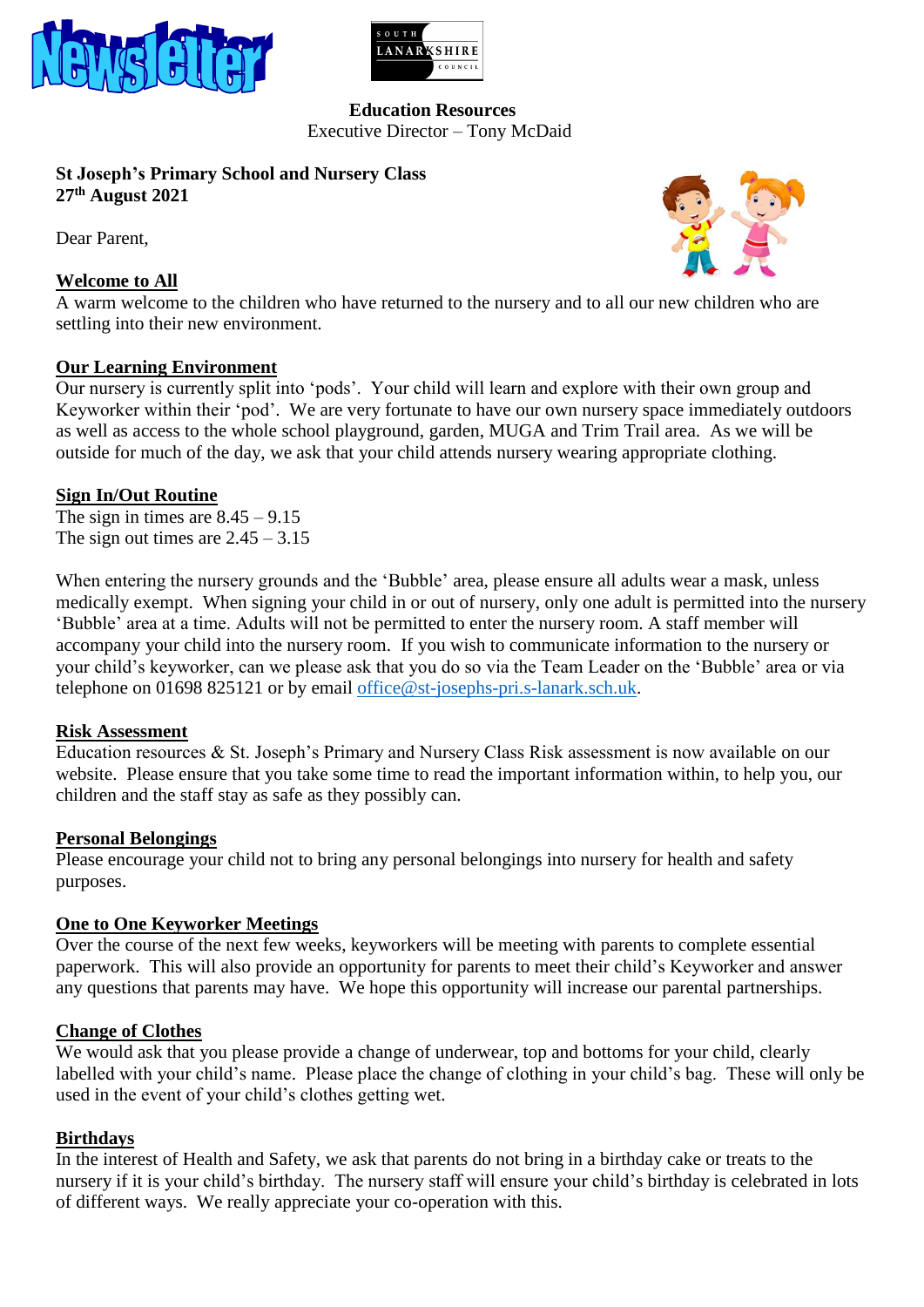



#### **Education Resources** Executive Director – Tony McDaid

### **St Joseph's Primary School and Nursery Class 27 th August 2021**

Dear Parent,

## **Welcome to All**



A warm welcome to the children who have returned to the nursery and to all our new children who are settling into their new environment.

### **Our Learning Environment**

Our nursery is currently split into 'pods'. Your child will learn and explore with their own group and Keyworker within their 'pod'. We are very fortunate to have our own nursery space immediately outdoors as well as access to the whole school playground, garden, MUGA and Trim Trail area. As we will be outside for much of the day, we ask that your child attends nursery wearing appropriate clothing.

### **Sign In/Out Routine**

The sign in times are  $8.45 - 9.15$ The sign out times are  $2.45 - 3.15$ 

When entering the nursery grounds and the 'Bubble' area, please ensure all adults wear a mask, unless medically exempt. When signing your child in or out of nursery, only one adult is permitted into the nursery 'Bubble' area at a time. Adults will not be permitted to enter the nursery room. A staff member will accompany your child into the nursery room. If you wish to communicate information to the nursery or your child's keyworker, can we please ask that you do so via the Team Leader on the 'Bubble' area or via telephone on 01698 825121 or by email [office@st-josephs-pri.s-lanark.sch.uk.](mailto:office@st-josephs-pri.s-lanark.sch.uk)

### **Risk Assessment**

Education resources & St. Joseph's Primary and Nursery Class Risk assessment is now available on our website. Please ensure that you take some time to read the important information within, to help you, our children and the staff stay as safe as they possibly can.

#### **Personal Belongings**

Please encourage your child not to bring any personal belongings into nursery for health and safety purposes.

### **One to One Keyworker Meetings**

Over the course of the next few weeks, keyworkers will be meeting with parents to complete essential paperwork. This will also provide an opportunity for parents to meet their child's Keyworker and answer any questions that parents may have. We hope this opportunity will increase our parental partnerships.

#### **Change of Clothes**

We would ask that you please provide a change of underwear, top and bottoms for your child, clearly labelled with your child's name. Please place the change of clothing in your child's bag. These will only be used in the event of your child's clothes getting wet.

### **Birthdays**

In the interest of Health and Safety, we ask that parents do not bring in a birthday cake or treats to the nursery if it is your child's birthday. The nursery staff will ensure your child's birthday is celebrated in lots of different ways. We really appreciate your co-operation with this.